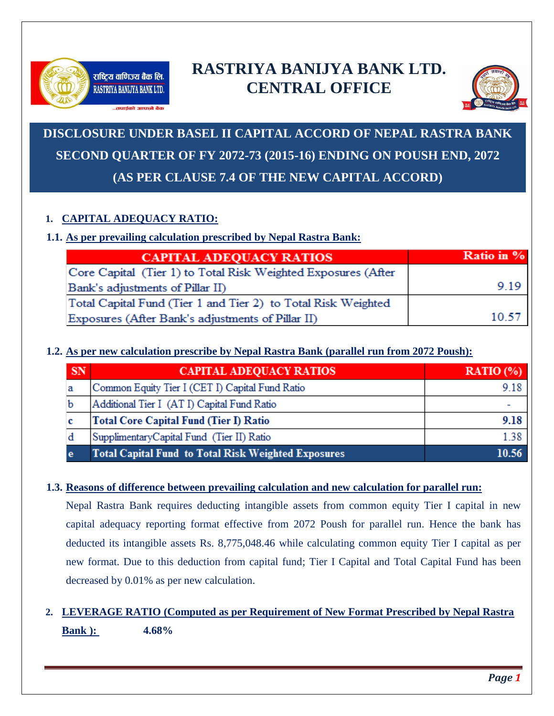

# **RASTRIYA BANIJYA BANK LTD. CENTRAL OFFICE**



# **DISCLOSURE UNDER BASEL II CAPITAL ACCORD OF NEPAL RASTRA BANK SECOND QUARTER OF FY 2072-73 (2015-16) ENDING ON POUSH END, 2072 (AS PER CLAUSE 7.4 OF THE NEW CAPITAL ACCORD)**

# **1. CAPITAL ADEQUACY RATIO:**

# **1.1. As per prevailing calculation prescribed by Nepal Rastra Bank:**

| <b>CAPITAL ADEQUACY RATIOS</b>                                | Ratio in % |
|---------------------------------------------------------------|------------|
| Core Capital (Tier 1) to Total Risk Weighted Exposures (After |            |
| Bank's adjustments of Pillar II)                              | 9.19       |
| Total Capital Fund (Tier 1 and Tier 2) to Total Risk Weighted |            |
| Exposures (After Bank's adjustments of Pillar II)             | 10.57      |

# **1.2. As per new calculation prescribe by Nepal Rastra Bank (parallel run from 2072 Poush):**

| <b>SN</b> | <b>CAPITAL ADEQUACY RATIOS</b>                             | RATIO $(\% )$ |  |  |  |
|-----------|------------------------------------------------------------|---------------|--|--|--|
|           | Common Equity Tier I (CET I) Capital Fund Ratio            | 9.18          |  |  |  |
|           | Additional Tier I (AT I) Capital Fund Ratio                |               |  |  |  |
|           | <b>Total Core Capital Fund (Tier I) Ratio</b>              | 9.18          |  |  |  |
|           | Supplimentary Capital Fund (Tier II) Ratio                 | 1.38          |  |  |  |
| е         | <b>Total Capital Fund to Total Risk Weighted Exposures</b> | 10.56         |  |  |  |

## **1.3. Reasons of difference between prevailing calculation and new calculation for parallel run:**

Nepal Rastra Bank requires deducting intangible assets from common equity Tier I capital in new capital adequacy reporting format effective from 2072 Poush for parallel run. Hence the bank has deducted its intangible assets Rs. 8,775,048.46 while calculating common equity Tier I capital as per new format. Due to this deduction from capital fund; Tier I Capital and Total Capital Fund has been decreased by 0.01% as per new calculation.

# **2. LEVERAGE RATIO (Computed as per Requirement of New Format Prescribed by Nepal Rastra Bank ): 4.68%**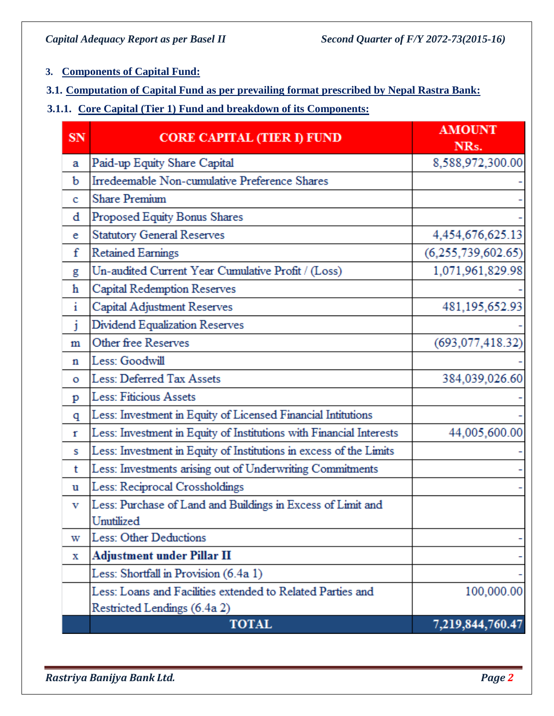# **3. Components of Capital Fund:**

- **3.1. Computation of Capital Fund as per prevailing format prescribed by Nepal Rastra Bank:**
- **3.1.1. Core Capital (Tier 1) Fund and breakdown of its Components:**

| SN           | <b>CORE CAPITAL (TIER I) FUND</b>                                   | <b>AMOUNT</b><br>NRs. |  |  |  |
|--------------|---------------------------------------------------------------------|-----------------------|--|--|--|
| а            | Paid-up Equity Share Capital                                        | 8,588,972,300.00      |  |  |  |
| b            | Irredeemable Non-cumulative Preference Shares                       |                       |  |  |  |
| c            | <b>Share Premium</b>                                                |                       |  |  |  |
| d            | Proposed Equity Bonus Shares                                        |                       |  |  |  |
| e            | <b>Statutory General Reserves</b>                                   | 4,454,676,625.13      |  |  |  |
| f            | <b>Retained Earnings</b>                                            | (6, 255, 739, 602.65) |  |  |  |
| g            | Un-audited Current Year Cumulative Profit / (Loss)                  | 1,071,961,829.98      |  |  |  |
| h            | Capital Redemption Reserves                                         |                       |  |  |  |
| i            | Capital Adjustment Reserves                                         | 481,195,652.93        |  |  |  |
| j            | Dividend Equalization Reserves                                      |                       |  |  |  |
| m            | Other free Reserves                                                 | (693, 077, 418.32)    |  |  |  |
| n            | Less: Goodwill                                                      |                       |  |  |  |
| O            | Less: Deferred Tax Assets                                           | 384,039,026.60        |  |  |  |
| p            | <b>Less: Fiticious Assets</b>                                       |                       |  |  |  |
| q            | Less: Investment in Equity of Licensed Financial Intitutions        |                       |  |  |  |
| $\mathbf{r}$ | Less: Investment in Equity of Institutions with Financial Interests | 44,005,600.00         |  |  |  |
| s            | Less: Investment in Equity of Institutions in excess of the Limits  |                       |  |  |  |
| t            | Less: Investments arising out of Underwriting Commitments           |                       |  |  |  |
| u            | Less: Reciprocal Crossholdings                                      |                       |  |  |  |
| v            | Less: Purchase of Land and Buildings in Excess of Limit and         |                       |  |  |  |
|              | Unutilized                                                          |                       |  |  |  |
| w            | <b>Less: Other Deductions</b>                                       |                       |  |  |  |
| х            | Adjustment under Pillar II                                          |                       |  |  |  |
|              | Less: Shortfall in Provision (6.4a 1)                               |                       |  |  |  |
|              | Less: Loans and Facilities extended to Related Parties and          | 100,000.00            |  |  |  |
|              | Restricted Lendings (6.4a 2)                                        |                       |  |  |  |
|              | <b>TOTAL</b>                                                        | 7,219,844,760.47      |  |  |  |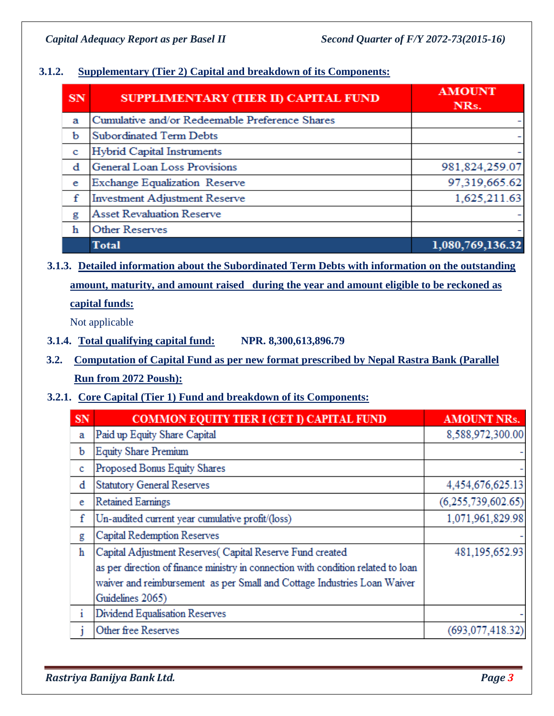## **3.1.2. Supplementary (Tier 2) Capital and breakdown of its Components:**

| SN | SUPPLIMENTARY (TIER II) CAPITAL FUND           | <b>AMOUNT</b><br>NRs. |
|----|------------------------------------------------|-----------------------|
| а  | Cumulative and/or Redeemable Preference Shares |                       |
| b  | <b>Subordinated Term Debts</b>                 |                       |
| c  | Hybrid Capital Instruments                     |                       |
| đ  | General Loan Loss Provisions                   | 981,824,259.07        |
| e  | Exchange Equalization Reserve                  | 97,319,665.62         |
| f  | <b>Investment Adjustment Reserve</b>           | 1,625,211.63          |
| g  | <b>Asset Revaluation Reserve</b>               |                       |
| h  | <b>Other Reserves</b>                          |                       |
|    | <b>Total</b>                                   | 1,080,769,136.32      |

**3.1.3. Detailed information about the Subordinated Term Debts with information on the outstanding amount, maturity, and amount raised during the year and amount eligible to be reckoned as capital funds:**

Not applicable

- **3.1.4. Total qualifying capital fund: NPR. 8,300,613,896.79**
- **3.2. Computation of Capital Fund as per new format prescribed by Nepal Rastra Bank (Parallel Run from 2072 Poush):**
- **3.2.1. Core Capital (Tier 1) Fund and breakdown of its Components:**

| SN | <b>COMMON EQUITY TIER I (CET I) CAPITAL FUND</b>                                  | <b>AMOUNT NRs.</b>    |
|----|-----------------------------------------------------------------------------------|-----------------------|
| a  | Paid up Equity Share Capital                                                      | 8,588,972,300.00      |
| b  | <b>Equity Share Premium</b>                                                       |                       |
| c  | Proposed Bonus Equity Shares                                                      |                       |
| d  | <b>Statutory General Reserves</b>                                                 | 4,454,676,625.13      |
| e  | <b>Retained Earnings</b>                                                          | (6, 255, 739, 602.65) |
| f  | Un-audited current year cumulative profit/(loss)                                  | 1,071,961,829.98      |
| g  | Capital Redemption Reserves                                                       |                       |
| ħ  | Capital Adjustment Reserves(Capital Reserve Fund created                          | 481, 195, 652. 93     |
|    | as per direction of finance ministry in connection with condition related to loan |                       |
|    | waiver and reimbursement as per Small and Cottage Industries Loan Waiver          |                       |
|    | Guidelines 2065)                                                                  |                       |
| i  | Dividend Equalisation Reserves                                                    |                       |
|    | Other free Reserves                                                               | (693, 077, 418.32)    |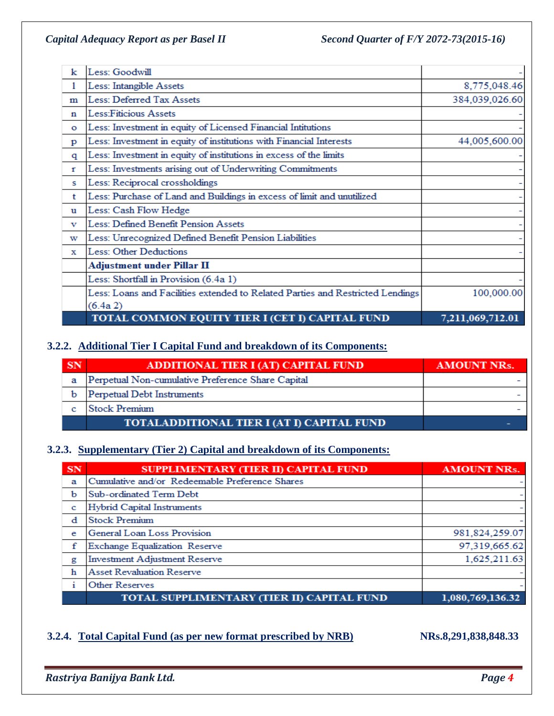| k            | Less: Goodwill                                                                 |                  |
|--------------|--------------------------------------------------------------------------------|------------------|
| 1            | Less: Intangible Assets                                                        | 8,775,048.46     |
| m            | Less: Deferred Tax Assets                                                      | 384,039,026.60   |
| n            | Less:Fiticious Assets                                                          |                  |
| $\mathbf{o}$ | Less: Investment in equity of Licensed Financial Intitutions                   |                  |
| p            | Less: Investment in equity of institutions with Financial Interests            | 44,005,600.00    |
| q            | Less: Investment in equity of institutions in excess of the limits             |                  |
| r            | Less: Investments arising out of Underwriting Commitments                      |                  |
| s            | Less: Reciprocal crossholdings                                                 |                  |
| t            | Less: Purchase of Land and Buildings in excess of limit and unutilized         |                  |
| u            | Less: Cash Flow Hedge                                                          |                  |
| v            | Less: Defined Benefit Pension Assets                                           |                  |
| w            | Less: Unrecognized Defined Benefit Pension Liabilities                         |                  |
| х            | Less: Other Deductions                                                         |                  |
|              | Adjustment under Pillar II                                                     |                  |
|              | Less: Shortfall in Provision (6.4a 1)                                          |                  |
|              | Less: Loans and Facilities extended to Related Parties and Restricted Lendings | 100,000.00       |
|              | (6.4a 2)                                                                       |                  |
|              | TOTAL COMMON EQUITY TIER I (CET I) CAPITAL FUND                                | 7,211,069,712.01 |

### **3.2.2. Additional Tier I Capital Fund and breakdown of its Components:**

| SN | ADDITIONAL TIER I (AT) CAPITAL FUND               | <b>AMOUNT NRs.</b> |
|----|---------------------------------------------------|--------------------|
| а  | Perpetual Non-cumulative Preference Share Capital |                    |
|    | Perpetual Debt Instruments                        |                    |
|    | Stock Premium                                     |                    |
|    | TOTALADDITIONAL TIER I (AT I) CAPITAL FUND        |                    |

# **3.2.3. Supplementary (Tier 2) Capital and breakdown of its Components:**

| SN | SUPPLIMENTARY (TIER II) CAPITAL FUND           | <b>AMOUNT NRs.</b> |
|----|------------------------------------------------|--------------------|
| a  | Cumulative and/or Redeemable Preference Shares |                    |
| b  | Sub-ordinated Term Debt                        |                    |
| c  | Hybrid Capital Instruments                     |                    |
| đ  | <b>Stock Premium</b>                           |                    |
| e  | General Loan Loss Provision                    | 981,824,259.07     |
| f  | Exchange Equalization Reserve                  | 97,319,665.62      |
| g  | <b>Investment Adjustment Reserve</b>           | 1,625,211.63       |
| h  | <b>Asset Revaluation Reserve</b>               |                    |
| ÷  | <b>Other Reserves</b>                          |                    |
|    | TOTAL SUPPLIMENTARY (TIER II) CAPITAL FUND     | 1,080,769,136.32   |

### **3.2.4. Total Capital Fund (as per new format prescribed by NRB) NRs.8,291,838,848.33**

*Rastriya Banijya Bank Ltd. Page 4*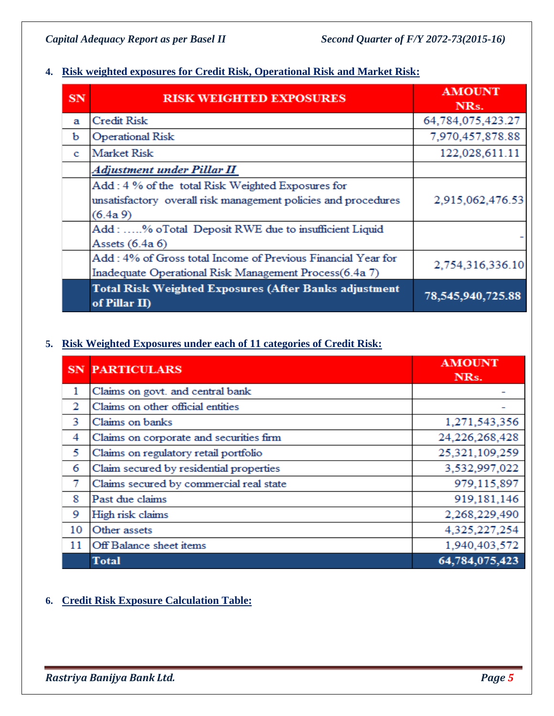# **4. Risk weighted exposures for Credit Risk, Operational Risk and Market Risk:**

| SN | <b>RISK WEIGHTED EXPOSURES</b>                                                | <b>AMOUNT</b>     |  |  |
|----|-------------------------------------------------------------------------------|-------------------|--|--|
|    |                                                                               | NRs.              |  |  |
| а  | <b>Credit Risk</b>                                                            | 64,784,075,423.27 |  |  |
| b  | <b>Operational Risk</b>                                                       | 7,970,457,878.88  |  |  |
| c. | Market Risk                                                                   | 122,028,611.11    |  |  |
|    | Adjustment under Pillar II                                                    |                   |  |  |
|    | Add: 4 % of the total Risk Weighted Exposures for                             |                   |  |  |
|    | unsatisfactory overall risk management policies and procedures                | 2,915,062,476.53  |  |  |
|    | $(6.4a\,9)$                                                                   |                   |  |  |
|    | Add: % oTotal Deposit RWE due to insufficient Liquid                          |                   |  |  |
|    | Assets (6.4a 6)                                                               |                   |  |  |
|    | Add: 4% of Gross total Income of Previous Financial Year for                  | 2,754,316,336.10  |  |  |
|    | Inadequate Operational Risk Management Process(6.4a 7)                        |                   |  |  |
|    | <b>Total Risk Weighted Exposures (After Banks adjustment</b><br>of Pillar II) | 78,545,940,725.88 |  |  |

# **5. Risk Weighted Exposures under each of 11 categories of Credit Risk:**

|    | <b>SN PARTICULARS</b>                   | <b>AMOUNT</b><br>NRs. |
|----|-----------------------------------------|-----------------------|
| 1  | Claims on govt. and central bank        |                       |
| 2  | Claims on other official entities       |                       |
| 3  | Claims on banks                         | 1,271,543,356         |
| 4  | Claims on corporate and securities firm | 24,226,268,428        |
| 5  | Claims on regulatory retail portfolio   | 25,321,109,259        |
| 6  | Claim secured by residential properties | 3,532,997,022         |
| 7  | Claims secured by commercial real state | 979,115,897           |
| 8  | Past due claims                         | 919,181,146           |
| 9  | High risk claims                        | 2,268,229,490         |
| 10 | Other assets                            | 4,325,227,254         |
| 11 | Off Balance sheet items                 | 1,940,403,572         |
|    | <b>Total</b>                            | 64,784,075,423        |

# **6. Credit Risk Exposure Calculation Table:**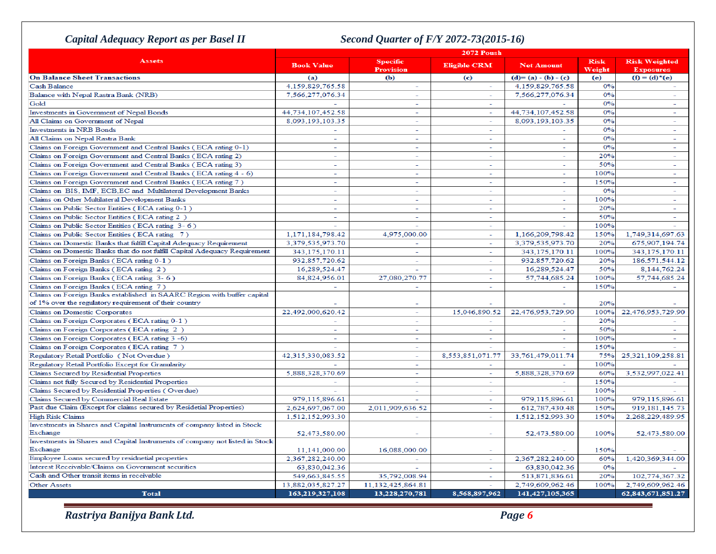# *Capital Adequacy Report as per Basel II Second Quarter of F/Y 2072-73(2015-16)*

| 2072 Poush                                                                   |                          |                                     |                          |                          |                       |                                          |
|------------------------------------------------------------------------------|--------------------------|-------------------------------------|--------------------------|--------------------------|-----------------------|------------------------------------------|
| <b>Assets</b>                                                                | <b>Book Value</b>        | <b>Specific</b><br><b>Provision</b> | <b>Eligible CRM</b>      | <b>Net Amount</b>        | <b>Risk</b><br>Weight | <b>Risk Weighted</b><br><b>Exposures</b> |
| <b>On Balance Sheet Transactions</b>                                         | (a)                      | (b)                                 | (c)                      | $(d)=(a)-(b)-(c)$        | (e)                   | $(f) = (d)^{\star}(e)$                   |
| <b>Cash Balance</b>                                                          | 4,159,829,765.58         | ÷                                   | $\overline{\phantom{a}}$ | 4,159,829,765.58         | 0%                    |                                          |
| Balance with Nepal Rastra Bank (NRB)                                         | 7,566,277,076.34         | ÷                                   | $\sim$                   | 7,566,277,076.34         | 0%                    | $\equiv$                                 |
| Gold                                                                         |                          | $\sim$                              | $\sim$                   |                          | 0%                    | $\sim$                                   |
| Investments in Government of Nepal Bonds                                     | 44,734,107,452.58        | ٠                                   | ÷                        | 44,734,107,452.58        | 0%                    | ÷                                        |
| All Claims on Government of Nepal                                            | 8,093,193,103.35         | ÷.                                  | $\overline{\phantom{a}}$ | 8,093,193,103.35         | 0%                    | ÷                                        |
| <b>Investments in NRB Bonds</b>                                              | $\equiv$                 | $\sim$                              | $\sim$                   |                          | 0%                    | $\sim$                                   |
| All Claims on Nepal Rastra Bank                                              | $\overline{\phantom{a}}$ | $\sim$                              | $\sim$                   | ÷                        | 0%                    | $\mathcal{L}^{\pm}$                      |
| Claims on Foreign Government and Central Banks (ECA rating 0-1)              |                          |                                     | ٠                        |                          | 0%                    | ÷                                        |
| Claims on Foreign Government and Central Banks (ECA rating 2)                | $\sim$                   | ÷                                   | $\sim$                   | ÷                        | 20%                   | ÷.                                       |
| Claims on Foreign Government and Central Banks (ECA rating 3)                | $\mathbf{r}$             | $\sim$                              | $\sim$                   | $\sim$                   | 50%                   | $\sim$                                   |
| Claims on Foreign Government and Central Banks (ECA rating 4 - 6)            | ٠                        | L.                                  | $\sim$                   | ٠                        | 100%                  | $\overline{a}$                           |
| Claims on Foreign Government and Central Banks (ECA rating 7)                | $\equiv$                 | $\mathcal{L}$                       | $\equiv$                 | $\equiv$                 | 150%                  | $\equiv$                                 |
| Claims on BIS, IMF, ECB, EC and Multilateral Development Banks               | $\overline{\phantom{a}}$ | $\sim$                              | $\sim$                   | $\overline{\phantom{0}}$ | 0%                    | $\overline{\phantom{a}}$                 |
| Claims on Other Multilateral Development Banks                               | $\sim$                   | $\sim$                              | $\sim$                   | ٠                        | 100%                  | $\equiv$                                 |
| Claims on Public Sector Entities (ECA rating 0-1)                            | ÷,                       | ÷.                                  | ä,                       |                          | 20%                   |                                          |
| Claims on Public Sector Entities (ECA rating 2)                              | ÷                        | ÷                                   | ÷                        | ٠                        | 50%                   | $\sim$                                   |
| Claims on Public Sector Entities (ECA rating 3-6)                            |                          |                                     | $\sim$                   |                          | 100%                  |                                          |
| Claims on Public Sector Entities (ECA rating 7)                              | 1,171,184,798.42         | 4.975.000.00                        | $\sim$                   | 1,166,209,798.42         | 150%                  | 1,749,314,697.63                         |
| Claims on Domestic Banks that fulfill Capital Adequacy Requirement           | 3,379,535,973.70         | $\equiv$                            | $\sim$                   | 3,379,535,973.70         | 20%                   | 675,907,194.74                           |
| Claims on Domestic Banks that do not fulfill Capital Adequacy Requirement    | 343, 175, 170. 11        | $\sim$                              | $\sim$                   | 343, 175, 170. 11        | 100%                  | 343, 175, 170. 11                        |
| Claims on Foreign Banks (ECA rating 0-1)                                     | 932,857,720.62           | $\sim$                              | $\sim$                   | 932,857,720.62           | 20%                   | 186,571,544.12                           |
| Claims on Foreign Banks (ECA rating 2)                                       | 16,289,524.47            |                                     | $\overline{\phantom{a}}$ | 16,289,524.47            | 50%                   | 8,144,762.24                             |
| Claims on Foreign Banks (ECA rating 3-6)                                     | 84,824,956.01            | 27,080,270.77                       | ÷.                       | 57,744,685.24            | 100%                  | 57,744,685.24                            |
| Claims on Foreign Banks (ECA rating 7)                                       |                          | $\sim$                              | $\sim$                   |                          | 150%                  |                                          |
| Claims on Foreign Banks established in SAARC Region with buffer capital      |                          |                                     |                          |                          |                       |                                          |
| of 1% over the regulatory requirement of their country                       |                          | $\overline{\phantom{a}}$            |                          |                          | 20%                   |                                          |
| Claims on Domestic Corporates                                                | 22.492.000.620.42        | Ξ                                   | 15.046.890.52            | 22.476.953.729.90        | 100%                  | 22.476.953.729.90                        |
| Claims on Foreign Corporates (ECA rating 0-1)                                |                          | ÷                                   | ٠                        |                          | 20%                   |                                          |
| Claims on Foreign Corporates (ECA rating 2)                                  | ÷.                       | ÷.                                  | $\sim$                   |                          | 50%                   | $\equiv$                                 |
| Claims on Foreign Corporates (ECA rating 3 -6)                               | $\sim$                   | $\sim$                              | $\sim$                   | Ξ                        | 100%                  | $\sim$                                   |
| Claims on Foreign Corporates (ECA rating 7)                                  |                          | $\sim$                              |                          |                          | 150%                  |                                          |
| Regulatory Retail Portfolio (Not Overdue)                                    | 42,315,330,083.52        | ٠                                   | 8,553,851,071.77         | 33,761,479,011.74        | 75%                   | 25,321,109,258.81                        |
| Regulatory Retail Portfolio Except for Granularity                           |                          | $\sim$                              | $\sim$                   |                          | 100%                  |                                          |
| Claims Secured by Residential Properties                                     | 5,888,328,370.69         | $\overline{\phantom{a}}$            | $\sim$                   | 5,888,328,370.69         | 60%                   | 3,532,997,022.41                         |
| Claims not fully Secured by Residential Properties                           |                          | ÷.                                  | ÷                        |                          | 150%                  |                                          |
| Claims Secured by Residential Properties (Overdue)                           |                          | ÷.                                  | ÷.                       |                          | 100%                  |                                          |
| Claims Secured by Commercial Real Estate                                     | 979,115,896.61           | $\overline{a}$                      | $\sim$                   | 979,115,896.61           | 100%                  | 979,115,896.61                           |
| Past due Claim (Except for claims secured by Residetial Properties)          | 2,624,697,067.00         | 2,011,909,636.52                    | $\sim$                   | 612,787,430.48           | 150%                  | 919, 181, 145. 73                        |
| <b>High Risk Claims</b>                                                      | 1,512,152,993.30         | $\bar{a}$                           |                          | 1,512,152,993.30         | 150%                  | 2,268,229,489.95                         |
| Investments in Shares and Capital Instruments of company listed in Stock     |                          |                                     |                          |                          |                       |                                          |
| Exchange                                                                     | 52,473,580.00            |                                     |                          | 52,473,580.00            | 100%                  | 52,473,580.00                            |
| Investments in Shares and Capital Instruments of company not listed in Stock |                          |                                     |                          |                          |                       |                                          |
| Exchange                                                                     | 11,141,000.00            | 16,088,000.00                       | ÷.                       |                          | 150%                  |                                          |
| Employee Loans secured by residnetial properties                             | 2,367,282,240.00         | $\sim$                              | $\sim$                   | 2,367,282,240.00         | 60%                   | 1,420,369,344.00                         |
| Interest Receivable/Claims on Government securities                          | 63,830,042.36            |                                     | $\sim$                   | 63,830,042.36            | 0%                    |                                          |
| Cash and Other transit items in receivable                                   | 549.663.845.55           | 35,792,008.94                       | ÷                        | 513.871.836.61           | 20%                   | 102.774.367.32                           |
| <b>Other Assets</b>                                                          | 13,882,035,827.27        | 11,132,425,864.81                   | ÷.                       | 2.749.609.962.46         | 100%                  | 2.749.609.962.46                         |
| <b>Total</b>                                                                 | 163,219,327,108          | 13,228,270,781                      | 8,568,897,962            | 141,427,105,365          |                       | 62,843,671,851.27                        |
|                                                                              |                          |                                     |                          |                          |                       |                                          |

*Rastriya Banijya Bank Ltd. Page 6*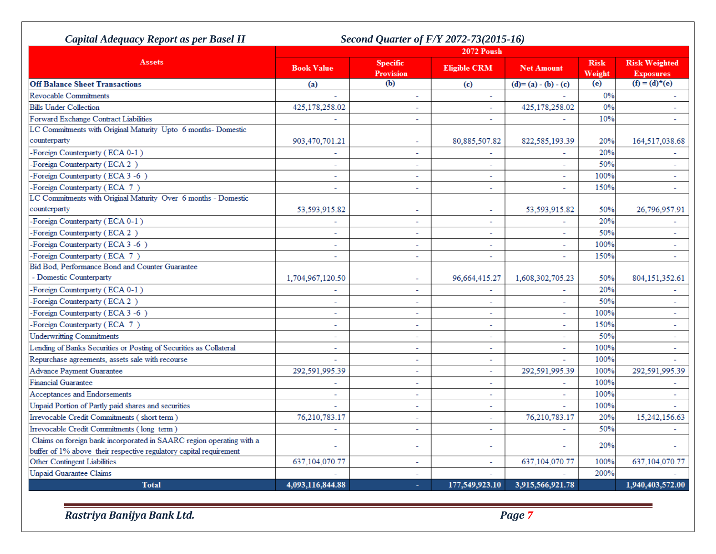| Capital Adequacy Report as per Basel II                              |                   | Second Quarter of F/Y 2072-73(2015-16) |                          |                          |                       |                                          |
|----------------------------------------------------------------------|-------------------|----------------------------------------|--------------------------|--------------------------|-----------------------|------------------------------------------|
|                                                                      | 2072 Poush        |                                        |                          |                          |                       |                                          |
| <b>Assets</b>                                                        | <b>Book Value</b> | <b>Specific</b><br><b>Provision</b>    | <b>Eligible CRM</b>      | <b>Net Amount</b>        | <b>Risk</b><br>Weight | <b>Risk Weighted</b><br><b>Exposures</b> |
| <b>Off Balance Sheet Transactions</b>                                | (a)               | (b)                                    | (c)                      | $(d)=(a)-(b)-(c)$        | (e)                   | $(f) = (d)^*(e)$                         |
| <b>Revocable Commitments</b>                                         |                   | $\overline{\phantom{a}}$               | $\sim$                   |                          | 0%                    |                                          |
| <b>Bills Under Collection</b>                                        | 425,178,258.02    | $\sim$                                 |                          | 425,178,258.02           | 0%                    |                                          |
| Forward Exchange Contract Liabilities                                |                   | $\overline{a}$                         |                          |                          | 10%                   |                                          |
| LC Commitments with Original Maturity Upto 6 months- Domestic        |                   |                                        |                          |                          |                       |                                          |
| counterparty                                                         | 903,470,701.21    | $\equiv$                               | 80,885,507.82            | 822,585,193.39           | 20%                   | 164,517,038.68                           |
| -Foreign Counterparty (ECA 0-1)                                      | $\equiv$          | $\overline{\phantom{a}}$               | $\overline{\phantom{a}}$ |                          | 20%                   |                                          |
| -Foreign Counterparty (ECA 2)                                        | $\sim$            | $\overline{\phantom{a}}$               | $\sim$                   |                          | 50%                   |                                          |
| -Foreign Counterparty (ECA 3 -6)                                     |                   | ÷.                                     | $\sim$                   |                          | 100%                  |                                          |
| -Foreign Counterparty (ECA 7)                                        | $\sim$            | $\mathcal{L}_{\mathcal{A}}$            | $\sim$                   | $\sim$                   | 150%                  | $\overline{\phantom{0}}$                 |
| LC Commitments with Original Maturity Over 6 months - Domestic       |                   |                                        |                          |                          |                       |                                          |
| counterparty                                                         | 53,593,915.82     | $\overline{\phantom{a}}$               | $\overline{\phantom{a}}$ | 53,593,915.82            | 50%                   | 26,796,957.91                            |
| -Foreign Counterparty (ECA 0-1)                                      |                   | $\overline{\phantom{a}}$               | $\overline{\phantom{a}}$ |                          | 20%                   |                                          |
| -Foreign Counterparty (ECA 2)                                        | $\sim$            | $\sim$                                 | $\sim$                   | $\overline{a}$           | 50%                   | $\overline{a}$                           |
| -Foreign Counterparty (ECA 3-6)                                      | ÷.                | $\sim$                                 | $\overline{\phantom{a}}$ | $\sim$                   | 100%                  | $\overline{\phantom{0}}$                 |
| -Foreign Counterparty (ECA 7)                                        | $\sim$            | ÷                                      | $\overline{\phantom{a}}$ | $\overline{\phantom{a}}$ | 150%                  | $\bar{a}$                                |
| Bid Bod, Performance Bond and Counter Guarantee                      |                   |                                        |                          |                          |                       |                                          |
| - Domestic Counterparty                                              | 1,704,967,120.50  | $\overline{\phantom{a}}$               | 96,664,415.27            | 1,608,302,705.23         | 50%                   | 804, 151, 352. 61                        |
| -Foreign Counterparty (ECA 0-1)                                      |                   | $\overline{a}$                         | ÷.                       |                          | 20%                   |                                          |
| -Foreign Counterparty (ECA 2)                                        | $\sim$            | $\sim$                                 | $\equiv$                 | $\sim$                   | 50%                   | $\overline{a}$                           |
| -Foreign Counterparty (ECA 3-6)                                      | $\sim$            | ÷                                      | $\overline{\phantom{a}}$ | $\overline{\phantom{a}}$ | 100%                  | $\overline{\phantom{a}}$                 |
| -Foreign Counterparty (ECA 7)                                        |                   | $\overline{\phantom{a}}$               |                          |                          | 150%                  | $\mathbf{r}$                             |
| <b>Underwritting Commitments</b>                                     |                   | $\equiv$                               | $\sim$                   |                          | 50%                   | ٠                                        |
| Lending of Banks Securities or Posting of Securities as Collateral   |                   | $\sim$                                 | $\overline{\phantom{a}}$ |                          | 100%                  |                                          |
| Repurchase agreements, assets sale with recourse                     |                   | $\equiv$                               | $\sim$                   |                          | 100%                  |                                          |
| Advance Payment Guarantee                                            | 292.591.995.39    | $\sim$                                 | $\sim$                   | 292,591,995.39           | 100%                  | 292.591.995.39                           |
| <b>Financial Guarantee</b>                                           |                   | $\overline{\phantom{a}}$               | $\overline{\phantom{a}}$ |                          | 100%                  |                                          |
| Acceptances and Endorsements                                         |                   | $\mathbf{r}$                           |                          |                          | 100%                  |                                          |
| Unpaid Portion of Partly paid shares and securities                  |                   | $\sim$                                 | $\sim$                   |                          | 100%                  |                                          |
| Irrevocable Credit Commitments (short term)                          | 76,210,783.17     | $\overline{\phantom{a}}$               |                          | 76,210,783.17            | 20%                   | 15,242,156.63                            |
| Irrevocable Credit Commitments (long term)                           |                   | $\overline{a}$                         | $\equiv$                 |                          | 50%                   |                                          |
| Claims on foreign bank incorporated in SAARC region operating with a |                   |                                        |                          |                          |                       |                                          |
| buffer of 1% above their respective regulatory capital requirement   |                   | $\overline{\phantom{a}}$               |                          |                          | 20%                   |                                          |
| Other Contingent Liabilities                                         | 637,104,070.77    | $\sim$                                 |                          | 637,104,070.77           | 100%                  | 637, 104, 070. 77                        |
| <b>Unpaid Guarantee Claims</b>                                       |                   | ÷.                                     |                          |                          | 200%                  |                                          |
| <b>Total</b>                                                         | 4,093,116,844.88  | ÷                                      | 177,549,923.10           | 3,915,566,921.78         |                       | 1,940,403,572.00                         |
|                                                                      |                   |                                        |                          |                          |                       |                                          |

*Rastriya Banijya Bank Ltd. Page 7*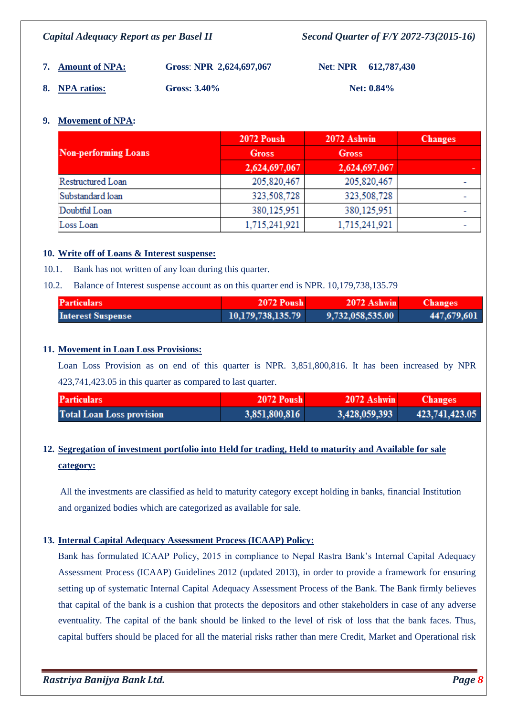*Capital Adequacy Report as per Basel II Second Quarter of F/Y 2072-73(2015-16)*

**7. Amount of NPA: Gross**: **NPR 2,624,697,067 Net**: **NPR 612,787,430 8. NPA ratios: Gross: 3.40% Net: 0.84%**

#### **9. Movement of NPA:**

| <b>Non-performing Loans</b> | <b>2072 Poush</b> | 2072 Ashwin   | <b>Changes</b> |
|-----------------------------|-------------------|---------------|----------------|
|                             | <b>Gross</b>      | <b>Gross</b>  |                |
|                             | 2,624,697,067     | 2,624,697,067 |                |
| Restructured Loan           | 205,820,467       | 205,820,467   |                |
| Substandard loan            | 323,508,728       | 323,508,728   |                |
| Doubtful Loan               | 380,125,951       | 380,125,951   |                |
| Loss Loan                   | 1,715,241,921     | 1,715,241,921 |                |

#### **10. Write off of Loans & Interest suspense:**

10.1. Bank has not written of any loan during this quarter.

10.2. Balance of Interest suspense account as on this quarter end is NPR. 10,179,738,135.79

| <b>Particulars</b>       | <b>2072 Poush</b> | 2072 Ashwin      | <b>Changes</b> |
|--------------------------|-------------------|------------------|----------------|
| <b>Interest Suspense</b> | 10,179,738,135.79 | 9,732,058,535.00 | 447,679,601    |

#### **11. Movement in Loan Loss Provisions:**

Loan Loss Provision as on end of this quarter is NPR. 3,851,800,816. It has been increased by NPR 423,741,423.05 in this quarter as compared to last quarter.

| <b>Particulars</b>               | <b>2072 Poush</b> | $2072$ Ashwin | <b>Changes</b> |
|----------------------------------|-------------------|---------------|----------------|
| <b>Total Loan Loss provision</b> | 3,851,800,816     | 3,428,059,393 | 423,741,423.05 |

# **12. Segregation of investment portfolio into Held for trading, Held to maturity and Available for sale category:**

All the investments are classified as held to maturity category except holding in banks, financial Institution and organized bodies which are categorized as available for sale.

#### **13. Internal Capital Adequacy Assessment Process (ICAAP) Policy:**

Bank has formulated ICAAP Policy, 2015 in compliance to Nepal Rastra Bank's Internal Capital Adequacy Assessment Process (ICAAP) Guidelines 2012 (updated 2013), in order to provide a framework for ensuring setting up of systematic Internal Capital Adequacy Assessment Process of the Bank. The Bank firmly believes that capital of the bank is a cushion that protects the depositors and other stakeholders in case of any adverse eventuality. The capital of the bank should be linked to the level of risk of loss that the bank faces. Thus, capital buffers should be placed for all the material risks rather than mere Credit, Market and Operational risk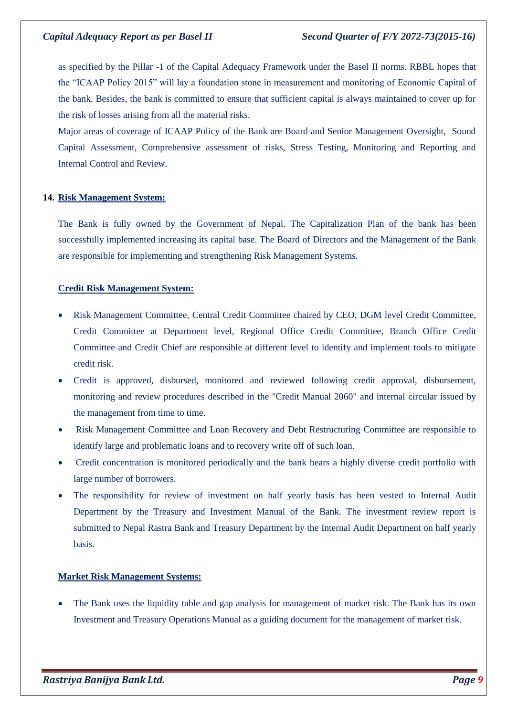as specified by the Pillar -1 of the Capital Adequacy Framework under the Basel II norms. RBBL hopes that the "ICAAP Policy 2015" will lay a foundation stone in measurement and monitoring of Economic Capital of the bank. Besides, the bank is committed to ensure that sufficient capital is always maintained to cover up for the risk of losses arising from all the material risks.

Major areas of coverage of ICAAP Policy of the Bank are Board and Senior Management Oversight, Sound Capital Assessment, Comprehensive assessment of risks, Stress Testing, Monitoring and Reporting and Internal Control and Review.

### **14. Risk Management System:**

The Bank is fully owned by the Government of Nepal. The Capitalization Plan of the bank has been successfully implemented increasing its capital base. The Board of Directors and the Management of the Bank are responsible for implementing and strengthening Risk Management Systems.

### **Credit Risk Management System:**

- Risk Management Committee, Central Credit Committee chaired by CEO, DGM level Credit Committee, Credit Committee at Department level, Regional Office Credit Committee, Branch Office Credit Committee and Credit Chief are responsible at different level to identify and implement tools to mitigate credit risk.
- Credit is approved, disbursed, monitored and reviewed following credit approval, disbursement, monitoring and review procedures described in the "Credit Manual 2060" and internal circular issued by the management from time to time.
- Risk Management Committee and Loan Recovery and Debt Restructuring Committee are responsible to identify large and problematic loans and to recovery write off of such loan.
- Credit concentration is monitored periodically and the bank bears a highly diverse credit portfolio with large number of borrowers.
- The responsibility for review of investment on half yearly basis has been vested to Internal Audit Department by the Treasury and Investment Manual of the Bank. The investment review report is submitted to Nepal Rastra Bank and Treasury Department by the Internal Audit Department on half yearly basis.

#### **Market Risk Management Systems:**

 The Bank uses the liquidity table and gap analysis for management of market risk. The Bank has its own Investment and Treasury Operations Manual as a guiding document for the management of market risk.